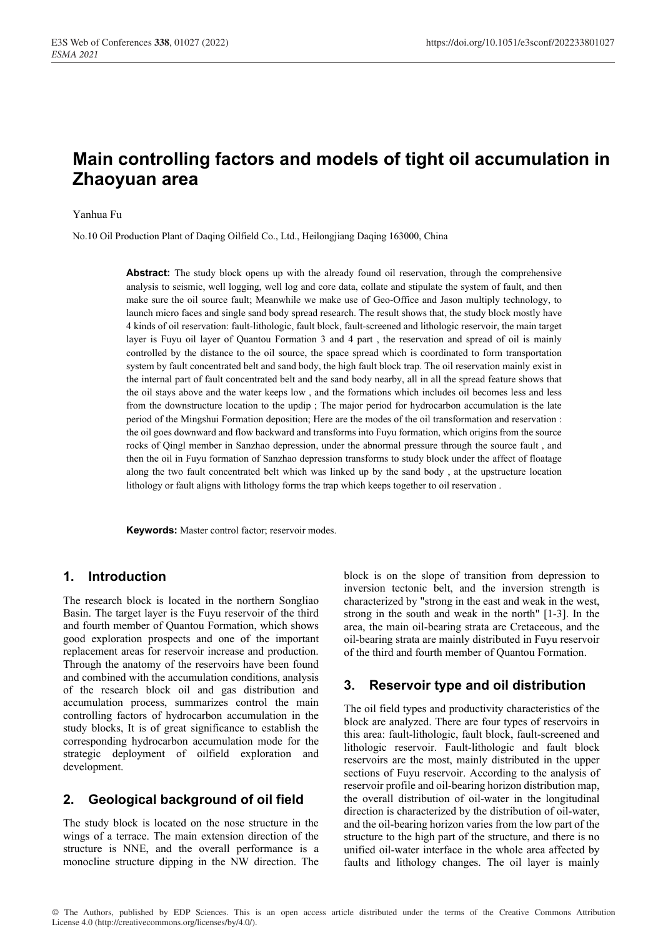# **Main controlling factors and models of tight oil accumulation in Zhaoyuan area**

#### Yanhua Fu

No.10 Oil Production Plant of Daqing Oilfield Co., Ltd., Heilongjiang Daqing 163000, China

**Abstract:** The study block opens up with the already found oil reservation, through the comprehensive analysis to seismic, well logging, well log and core data, collate and stipulate the system of fault, and then make sure the oil source fault; Meanwhile we make use of Geo-Office and Jason multiply technology, to launch micro faces and single sand body spread research. The result shows that, the study block mostly have 4 kinds of oil reservation: fault-lithologic, fault block, fault-screened and lithologic reservoir, the main target layer is Fuyu oil layer of Quantou Formation 3 and 4 part , the reservation and spread of oil is mainly controlled by the distance to the oil source, the space spread which is coordinated to form transportation system by fault concentrated belt and sand body, the high fault block trap. The oil reservation mainly exist in the internal part of fault concentrated belt and the sand body nearby, all in all the spread feature shows that the oil stays above and the water keeps low , and the formations which includes oil becomes less and less from the downstructure location to the updip ; The major period for hydrocarbon accumulation is the late period of the Mingshui Formation deposition; Here are the modes of the oil transformation and reservation : the oil goes downward and flow backward and transforms into Fuyu formation, which origins from the source rocks of Qingl member in Sanzhao depression, under the abnormal pressure through the source fault , and then the oil in Fuyu formation of Sanzhao depression transforms to study block under the affect of floatage along the two fault concentrated belt which was linked up by the sand body , at the upstructure location lithology or fault aligns with lithology forms the trap which keeps together to oil reservation .

**Keywords:** Master control factor; reservoir modes.

## **1. Introduction**

The research block is located in the northern Songliao Basin. The target layer is the Fuyu reservoir of the third and fourth member of Quantou Formation, which shows good exploration prospects and one of the important replacement areas for reservoir increase and production. Through the anatomy of the reservoirs have been found and combined with the accumulation conditions, analysis of the research block oil and gas distribution and accumulation process, summarizes control the main controlling factors of hydrocarbon accumulation in the study blocks, It is of great significance to establish the corresponding hydrocarbon accumulation mode for the strategic deployment of oilfield exploration and development.

## **2. Geological background of oil field**

The study block is located on the nose structure in the wings of a terrace. The main extension direction of the structure is NNE, and the overall performance is a monocline structure dipping in the NW direction. The block is on the slope of transition from depression to inversion tectonic belt, and the inversion strength is characterized by "strong in the east and weak in the west, strong in the south and weak in the north" [1-3]. In the area, the main oil-bearing strata are Cretaceous, and the oil-bearing strata are mainly distributed in Fuyu reservoir of the third and fourth member of Quantou Formation.

## **3. Reservoir type and oil distribution**

The oil field types and productivity characteristics of the block are analyzed. There are four types of reservoirs in this area: fault-lithologic, fault block, fault-screened and lithologic reservoir. Fault-lithologic and fault block reservoirs are the most, mainly distributed in the upper sections of Fuyu reservoir. According to the analysis of reservoir profile and oil-bearing horizon distribution map, the overall distribution of oil-water in the longitudinal direction is characterized by the distribution of oil-water, and the oil-bearing horizon varies from the low part of the structure to the high part of the structure, and there is no unified oil-water interface in the whole area affected by faults and lithology changes. The oil layer is mainly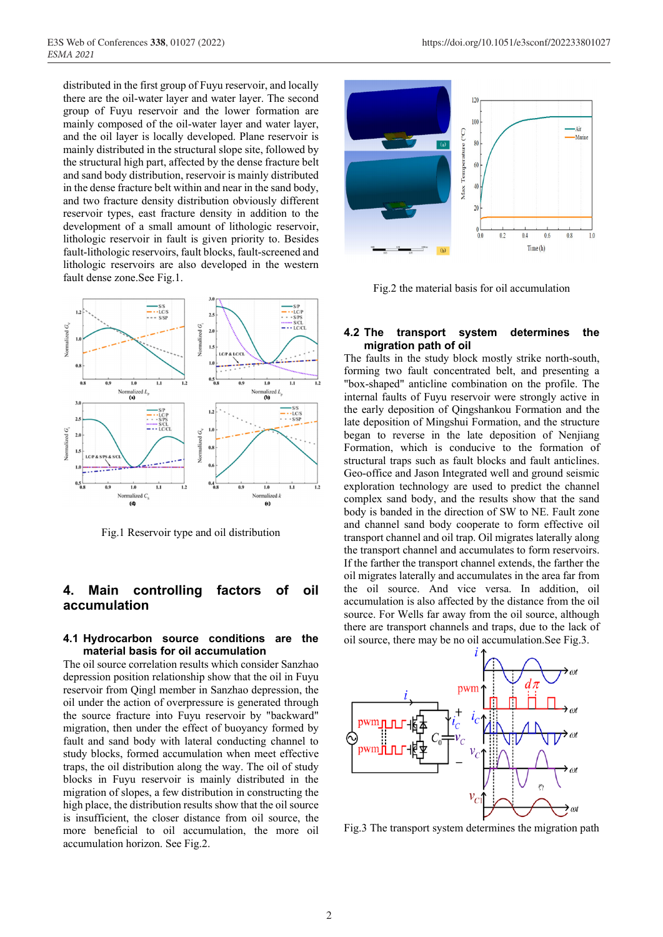distributed in the first group of Fuyu reservoir, and locally there are the oil-water layer and water layer. The second group of Fuyu reservoir and the lower formation are mainly composed of the oil-water layer and water layer, and the oil layer is locally developed. Plane reservoir is mainly distributed in the structural slope site, followed by the structural high part, affected by the dense fracture belt and sand body distribution, reservoir is mainly distributed in the dense fracture belt within and near in the sand body, and two fracture density distribution obviously different reservoir types, east fracture density in addition to the development of a small amount of lithologic reservoir, lithologic reservoir in fault is given priority to. Besides fault-lithologic reservoirs, fault blocks, fault-screened and lithologic reservoirs are also developed in the western fault dense zone.See Fig.1.



Fig.1 Reservoir type and oil distribution

### **4. Main controlling factors of oil accumulation**

#### **4.1 Hydrocarbon source conditions are the material basis for oil accumulation**

The oil source correlation results which consider Sanzhao depression position relationship show that the oil in Fuyu reservoir from Qingl member in Sanzhao depression, the oil under the action of overpressure is generated through the source fracture into Fuyu reservoir by "backward" migration, then under the effect of buoyancy formed by fault and sand body with lateral conducting channel to study blocks, formed accumulation when meet effective traps, the oil distribution along the way. The oil of study blocks in Fuyu reservoir is mainly distributed in the migration of slopes, a few distribution in constructing the high place, the distribution results show that the oil source is insufficient, the closer distance from oil source, the more beneficial to oil accumulation, the more oil accumulation horizon. See Fig.2.



Fig.2 the material basis for oil accumulation

#### **4.2 The transport system determines the migration path of oil**

The faults in the study block mostly strike north-south, forming two fault concentrated belt, and presenting a "box-shaped" anticline combination on the profile. The internal faults of Fuyu reservoir were strongly active in the early deposition of Qingshankou Formation and the late deposition of Mingshui Formation, and the structure began to reverse in the late deposition of Nenjiang Formation, which is conducive to the formation of structural traps such as fault blocks and fault anticlines. Geo-office and Jason Integrated well and ground seismic exploration technology are used to predict the channel complex sand body, and the results show that the sand body is banded in the direction of SW to NE. Fault zone and channel sand body cooperate to form effective oil transport channel and oil trap. Oil migrates laterally along the transport channel and accumulates to form reservoirs. If the farther the transport channel extends, the farther the oil migrates laterally and accumulates in the area far from the oil source. And vice versa. In addition, oil accumulation is also affected by the distance from the oil source. For Wells far away from the oil source, although there are transport channels and traps, due to the lack of oil source, there may be no oil accumulation.See Fig.3.



Fig.3 The transport system determines the migration path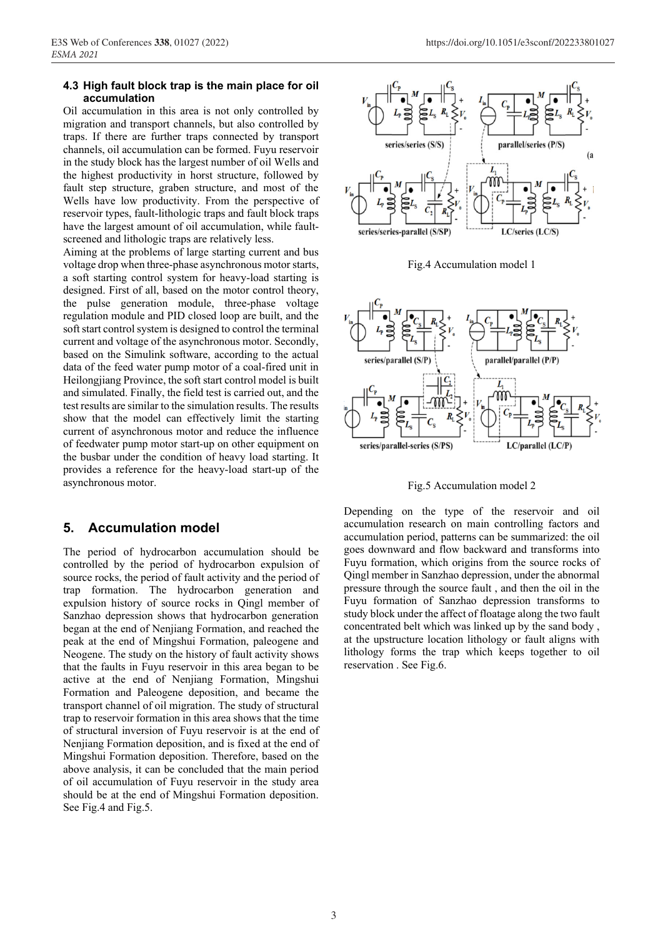#### **4.3 High fault block trap is the main place for oil accumulation**

Oil accumulation in this area is not only controlled by migration and transport channels, but also controlled by traps. If there are further traps connected by transport channels, oil accumulation can be formed. Fuyu reservoir in the study block has the largest number of oil Wells and the highest productivity in horst structure, followed by fault step structure, graben structure, and most of the Wells have low productivity. From the perspective of reservoir types, fault-lithologic traps and fault block traps have the largest amount of oil accumulation, while faultscreened and lithologic traps are relatively less.

Aiming at the problems of large starting current and bus voltage drop when three-phase asynchronous motor starts, a soft starting control system for heavy-load starting is designed. First of all, based on the motor control theory, the pulse generation module, three-phase voltage regulation module and PID closed loop are built, and the soft start control system is designed to control the terminal current and voltage of the asynchronous motor. Secondly, based on the Simulink software, according to the actual data of the feed water pump motor of a coal-fired unit in Heilongjiang Province, the soft start control model is built and simulated. Finally, the field test is carried out, and the test results are similar to the simulation results. The results show that the model can effectively limit the starting current of asynchronous motor and reduce the influence of feedwater pump motor start-up on other equipment on the busbar under the condition of heavy load starting. It provides a reference for the heavy-load start-up of the asynchronous motor.

## **5. Accumulation model**

The period of hydrocarbon accumulation should be controlled by the period of hydrocarbon expulsion of source rocks, the period of fault activity and the period of trap formation. The hydrocarbon generation and expulsion history of source rocks in Qingl member of Sanzhao depression shows that hydrocarbon generation began at the end of Nenjiang Formation, and reached the peak at the end of Mingshui Formation, paleogene and Neogene. The study on the history of fault activity shows that the faults in Fuyu reservoir in this area began to be active at the end of Nenjiang Formation, Mingshui Formation and Paleogene deposition, and became the transport channel of oil migration. The study of structural trap to reservoir formation in this area shows that the time of structural inversion of Fuyu reservoir is at the end of Nenjiang Formation deposition, and is fixed at the end of Mingshui Formation deposition. Therefore, based on the above analysis, it can be concluded that the main period of oil accumulation of Fuyu reservoir in the study area should be at the end of Mingshui Formation deposition. See Fig.4 and Fig.5.



Fig.4 Accumulation model 1



Fig.5 Accumulation model 2

Depending on the type of the reservoir and oil accumulation research on main controlling factors and accumulation period, patterns can be summarized: the oil goes downward and flow backward and transforms into Fuyu formation, which origins from the source rocks of Qingl member in Sanzhao depression, under the abnormal pressure through the source fault , and then the oil in the Fuyu formation of Sanzhao depression transforms to study block under the affect of floatage along the two fault concentrated belt which was linked up by the sand body , at the upstructure location lithology or fault aligns with lithology forms the trap which keeps together to oil reservation . See Fig.6.